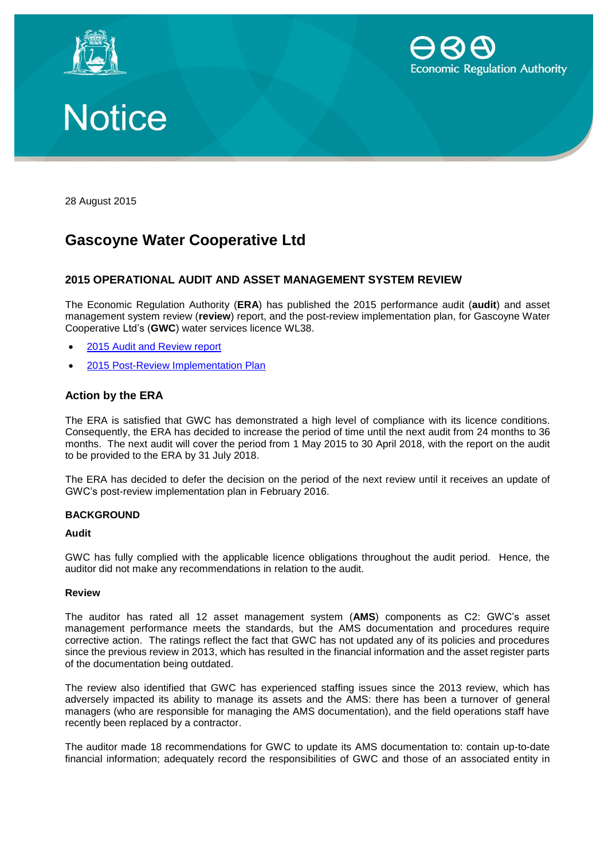





28 August 2015

# **Gascoyne Water Cooperative Ltd**

# **2015 OPERATIONAL AUDIT AND ASSET MANAGEMENT SYSTEM REVIEW**

The Economic Regulation Authority (**ERA**) has published the 2015 performance audit (**audit**) and asset management system review (**review**) report, and the post-review implementation plan, for Gascoyne Water Cooperative Ltd's (**GWC**) water services licence WL38.

- 2015 [Audit and Review report](http://www.erawa.com.au/cproot/13830/2/2015%20Operational%20Audit%20and%20Asset%20Management%20Review%20Report.PDF)
- 2015 [Post-Review Implementation Plan](http://www.erawa.com.au/cproot/13831/2/2015%20Post-review%20Implementation%20Plan.PDF)

# **Action by the ERA**

The ERA is satisfied that GWC has demonstrated a high level of compliance with its licence conditions. Consequently, the ERA has decided to increase the period of time until the next audit from 24 months to 36 months. The next audit will cover the period from 1 May 2015 to 30 April 2018, with the report on the audit to be provided to the ERA by 31 July 2018.

The ERA has decided to defer the decision on the period of the next review until it receives an update of GWC's post-review implementation plan in February 2016.

### **BACKGROUND**

### **Audit**

GWC has fully complied with the applicable licence obligations throughout the audit period. Hence, the auditor did not make any recommendations in relation to the audit.

### **Review**

The auditor has rated all 12 asset management system (**AMS**) components as C2: GWC's asset management performance meets the standards, but the AMS documentation and procedures require corrective action. The ratings reflect the fact that GWC has not updated any of its policies and procedures since the previous review in 2013, which has resulted in the financial information and the asset register parts of the documentation being outdated.

The review also identified that GWC has experienced staffing issues since the 2013 review, which has adversely impacted its ability to manage its assets and the AMS: there has been a turnover of general managers (who are responsible for managing the AMS documentation), and the field operations staff have recently been replaced by a contractor.

The auditor made 18 recommendations for GWC to update its AMS documentation to: contain up-to-date financial information; adequately record the responsibilities of GWC and those of an associated entity in